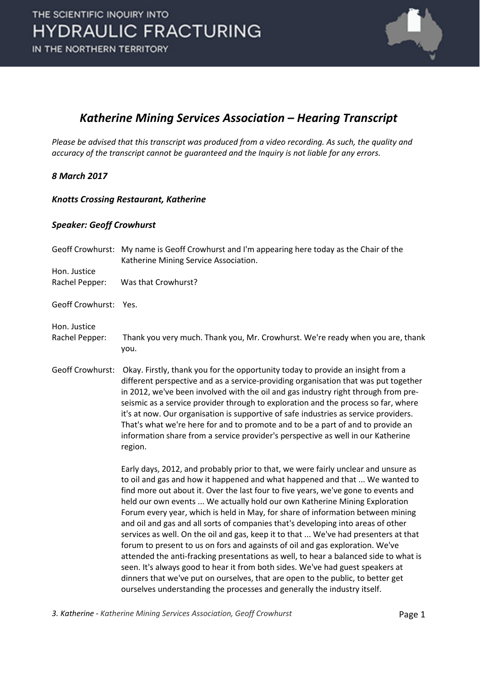

### *Katherine Mining Services Association – Hearing Transcript*

*Please be advised that this transcript was produced from a video recording. As such, the quality and accuracy of the transcript cannot be guaranteed and the Inquiry is not liable for any errors.*

#### *8 March 2017*

#### *Knotts Crossing Restaurant, Katherine*

#### *Speaker: Geoff Crowhurst*

|                       | Geoff Crowhurst: My name is Geoff Crowhurst and I'm appearing here today as the Chair of the<br>Katherine Mining Service Association.                                                                                                                                                                                                                                                                                                                                                                                                                                                                                                                                                                                                                                                                                                                                                                                                                                                                                         |
|-----------------------|-------------------------------------------------------------------------------------------------------------------------------------------------------------------------------------------------------------------------------------------------------------------------------------------------------------------------------------------------------------------------------------------------------------------------------------------------------------------------------------------------------------------------------------------------------------------------------------------------------------------------------------------------------------------------------------------------------------------------------------------------------------------------------------------------------------------------------------------------------------------------------------------------------------------------------------------------------------------------------------------------------------------------------|
| Hon. Justice          |                                                                                                                                                                                                                                                                                                                                                                                                                                                                                                                                                                                                                                                                                                                                                                                                                                                                                                                                                                                                                               |
| Rachel Pepper:        | Was that Crowhurst?                                                                                                                                                                                                                                                                                                                                                                                                                                                                                                                                                                                                                                                                                                                                                                                                                                                                                                                                                                                                           |
| Geoff Crowhurst: Yes. |                                                                                                                                                                                                                                                                                                                                                                                                                                                                                                                                                                                                                                                                                                                                                                                                                                                                                                                                                                                                                               |
| Hon. Justice          |                                                                                                                                                                                                                                                                                                                                                                                                                                                                                                                                                                                                                                                                                                                                                                                                                                                                                                                                                                                                                               |
| Rachel Pepper:        | Thank you very much. Thank you, Mr. Crowhurst. We're ready when you are, thank<br>you.                                                                                                                                                                                                                                                                                                                                                                                                                                                                                                                                                                                                                                                                                                                                                                                                                                                                                                                                        |
| Geoff Crowhurst:      | Okay. Firstly, thank you for the opportunity today to provide an insight from a<br>different perspective and as a service-providing organisation that was put together<br>in 2012, we've been involved with the oil and gas industry right through from pre-<br>seismic as a service provider through to exploration and the process so far, where<br>it's at now. Our organisation is supportive of safe industries as service providers.<br>That's what we're here for and to promote and to be a part of and to provide an<br>information share from a service provider's perspective as well in our Katherine<br>region.                                                                                                                                                                                                                                                                                                                                                                                                  |
|                       | Early days, 2012, and probably prior to that, we were fairly unclear and unsure as<br>to oil and gas and how it happened and what happened and that  We wanted to<br>find more out about it. Over the last four to five years, we've gone to events and<br>held our own events  We actually hold our own Katherine Mining Exploration<br>Forum every year, which is held in May, for share of information between mining<br>and oil and gas and all sorts of companies that's developing into areas of other<br>services as well. On the oil and gas, keep it to that  We've had presenters at that<br>forum to present to us on fors and againsts of oil and gas exploration. We've<br>attended the anti-fracking presentations as well, to hear a balanced side to what is<br>seen. It's always good to hear it from both sides. We've had guest speakers at<br>dinners that we've put on ourselves, that are open to the public, to better get<br>ourselves understanding the processes and generally the industry itself. |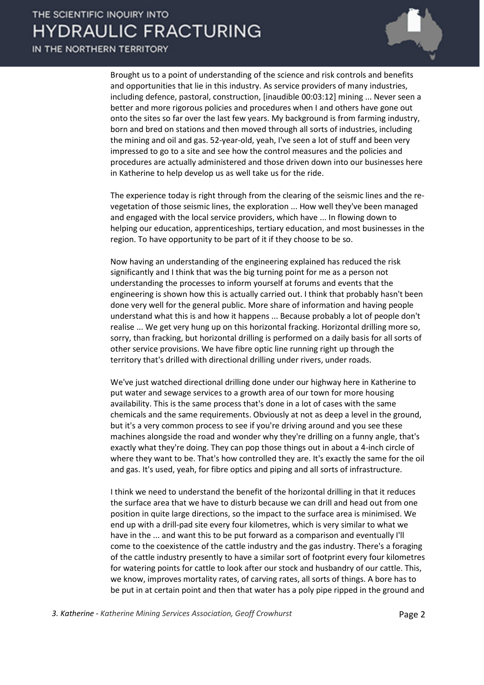IN THE NORTHERN TERRITORY



Brought us to a point of understanding of the science and risk controls and benefits and opportunities that lie in this industry. As service providers of many industries, including defence, pastoral, construction, [inaudible 00:03:12] mining ... Never seen a better and more rigorous policies and procedures when I and others have gone out onto the sites so far over the last few years. My background is from farming industry, born and bred on stations and then moved through all sorts of industries, including the mining and oil and gas. 52-year-old, yeah, I've seen a lot of stuff and been very impressed to go to a site and see how the control measures and the policies and procedures are actually administered and those driven down into our businesses here in Katherine to help develop us as well take us for the ride.

The experience today is right through from the clearing of the seismic lines and the revegetation of those seismic lines, the exploration ... How well they've been managed and engaged with the local service providers, which have ... In flowing down to helping our education, apprenticeships, tertiary education, and most businesses in the region. To have opportunity to be part of it if they choose to be so.

Now having an understanding of the engineering explained has reduced the risk significantly and I think that was the big turning point for me as a person not understanding the processes to inform yourself at forums and events that the engineering is shown how this is actually carried out. I think that probably hasn't been done very well for the general public. More share of information and having people understand what this is and how it happens ... Because probably a lot of people don't realise ... We get very hung up on this horizontal fracking. Horizontal drilling more so, sorry, than fracking, but horizontal drilling is performed on a daily basis for all sorts of other service provisions. We have fibre optic line running right up through the territory that's drilled with directional drilling under rivers, under roads.

We've just watched directional drilling done under our highway here in Katherine to put water and sewage services to a growth area of our town for more housing availability. This is the same process that's done in a lot of cases with the same chemicals and the same requirements. Obviously at not as deep a level in the ground, but it's a very common process to see if you're driving around and you see these machines alongside the road and wonder why they're drilling on a funny angle, that's exactly what they're doing. They can pop those things out in about a 4-inch circle of where they want to be. That's how controlled they are. It's exactly the same for the oil and gas. It's used, yeah, for fibre optics and piping and all sorts of infrastructure.

I think we need to understand the benefit of the horizontal drilling in that it reduces the surface area that we have to disturb because we can drill and head out from one position in quite large directions, so the impact to the surface area is minimised. We end up with a drill-pad site every four kilometres, which is very similar to what we have in the ... and want this to be put forward as a comparison and eventually I'll come to the coexistence of the cattle industry and the gas industry. There's a foraging of the cattle industry presently to have a similar sort of footprint every four kilometres for watering points for cattle to look after our stock and husbandry of our cattle. This, we know, improves mortality rates, of carving rates, all sorts of things. A bore has to be put in at certain point and then that water has a poly pipe ripped in the ground and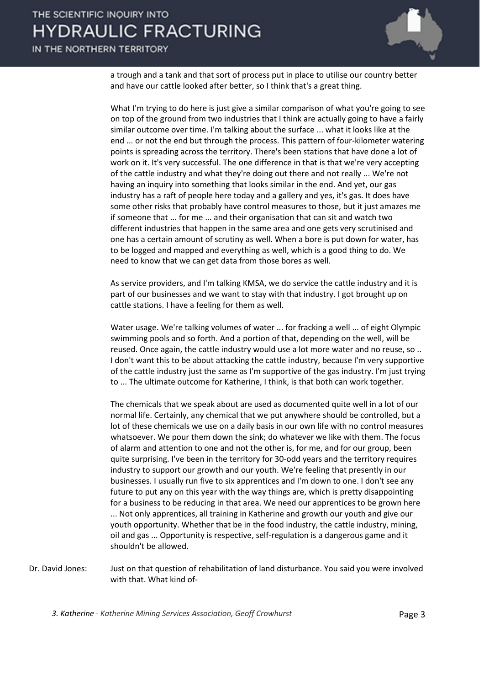### IN THE NORTHERN TERRITORY



a trough and a tank and that sort of process put in place to utilise our country better and have our cattle looked after better, so I think that's a great thing.

What I'm trying to do here is just give a similar comparison of what you're going to see on top of the ground from two industries that I think are actually going to have a fairly similar outcome over time. I'm talking about the surface ... what it looks like at the end ... or not the end but through the process. This pattern of four-kilometer watering points is spreading across the territory. There's been stations that have done a lot of work on it. It's very successful. The one difference in that is that we're very accepting of the cattle industry and what they're doing out there and not really ... We're not having an inquiry into something that looks similar in the end. And yet, our gas industry has a raft of people here today and a gallery and yes, it's gas. It does have some other risks that probably have control measures to those, but it just amazes me if someone that ... for me ... and their organisation that can sit and watch two different industries that happen in the same area and one gets very scrutinised and one has a certain amount of scrutiny as well. When a bore is put down for water, has to be logged and mapped and everything as well, which is a good thing to do. We need to know that we can get data from those bores as well.

As service providers, and I'm talking KMSA, we do service the cattle industry and it is part of our businesses and we want to stay with that industry. I got brought up on cattle stations. I have a feeling for them as well.

Water usage. We're talking volumes of water ... for fracking a well ... of eight Olympic swimming pools and so forth. And a portion of that, depending on the well, will be reused. Once again, the cattle industry would use a lot more water and no reuse, so .. I don't want this to be about attacking the cattle industry, because I'm very supportive of the cattle industry just the same as I'm supportive of the gas industry. I'm just trying to ... The ultimate outcome for Katherine, I think, is that both can work together.

The chemicals that we speak about are used as documented quite well in a lot of our normal life. Certainly, any chemical that we put anywhere should be controlled, but a lot of these chemicals we use on a daily basis in our own life with no control measures whatsoever. We pour them down the sink; do whatever we like with them. The focus of alarm and attention to one and not the other is, for me, and for our group, been quite surprising. I've been in the territory for 30-odd years and the territory requires industry to support our growth and our youth. We're feeling that presently in our businesses. I usually run five to six apprentices and I'm down to one. I don't see any future to put any on this year with the way things are, which is pretty disappointing for a business to be reducing in that area. We need our apprentices to be grown here ... Not only apprentices, all training in Katherine and growth our youth and give our youth opportunity. Whether that be in the food industry, the cattle industry, mining, oil and gas ... Opportunity is respective, self-regulation is a dangerous game and it shouldn't be allowed.

Dr. David Jones: Just on that question of rehabilitation of land disturbance. You said you were involved with that. What kind of-

3. Katherine - *Katherine Mining Services Association, Geoff Crowhurst* **Page 3**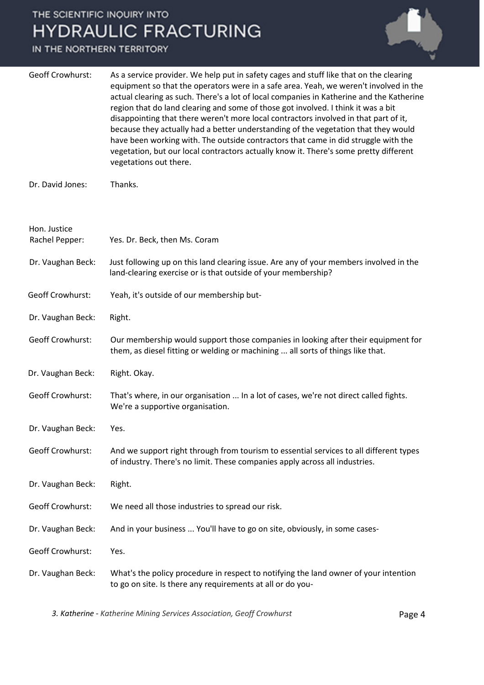### IN THE NORTHERN TERRITORY



| Geoff Crowhurst: | As a service provider. We help put in safety cages and stuff like that on the clearing<br>equipment so that the operators were in a safe area. Yeah, we weren't involved in the<br>actual clearing as such. There's a lot of local companies in Katherine and the Katherine<br>region that do land clearing and some of those got involved. I think it was a bit<br>disappointing that there weren't more local contractors involved in that part of it,<br>because they actually had a better understanding of the vegetation that they would<br>have been working with. The outside contractors that came in did struggle with the<br>vegetation, but our local contractors actually know it. There's some pretty different<br>vegetations out there. |
|------------------|---------------------------------------------------------------------------------------------------------------------------------------------------------------------------------------------------------------------------------------------------------------------------------------------------------------------------------------------------------------------------------------------------------------------------------------------------------------------------------------------------------------------------------------------------------------------------------------------------------------------------------------------------------------------------------------------------------------------------------------------------------|
|                  |                                                                                                                                                                                                                                                                                                                                                                                                                                                                                                                                                                                                                                                                                                                                                         |

Dr. David Jones: Thanks.

| Hon. Justice<br>Rachel Pepper: | Yes. Dr. Beck, then Ms. Coram                                                                                                                                         |
|--------------------------------|-----------------------------------------------------------------------------------------------------------------------------------------------------------------------|
| Dr. Vaughan Beck:              | Just following up on this land clearing issue. Are any of your members involved in the<br>land-clearing exercise or is that outside of your membership?               |
| <b>Geoff Crowhurst:</b>        | Yeah, it's outside of our membership but-                                                                                                                             |
| Dr. Vaughan Beck:              | Right.                                                                                                                                                                |
| Geoff Crowhurst:               | Our membership would support those companies in looking after their equipment for<br>them, as diesel fitting or welding or machining  all sorts of things like that.  |
| Dr. Vaughan Beck:              | Right. Okay.                                                                                                                                                          |
| <b>Geoff Crowhurst:</b>        | That's where, in our organisation  In a lot of cases, we're not direct called fights.<br>We're a supportive organisation.                                             |
| Dr. Vaughan Beck:              | Yes.                                                                                                                                                                  |
| <b>Geoff Crowhurst:</b>        | And we support right through from tourism to essential services to all different types<br>of industry. There's no limit. These companies apply across all industries. |
| Dr. Vaughan Beck:              | Right.                                                                                                                                                                |
| <b>Geoff Crowhurst:</b>        | We need all those industries to spread our risk.                                                                                                                      |
| Dr. Vaughan Beck:              | And in your business  You'll have to go on site, obviously, in some cases-                                                                                            |
| <b>Geoff Crowhurst:</b>        | Yes.                                                                                                                                                                  |
| Dr. Vaughan Beck:              | What's the policy procedure in respect to notifying the land owner of your intention<br>to go on site. Is there any requirements at all or do you-                    |

*3. Katherine - Katherine Mining Services Association, Geoff Crowhurst* Page 4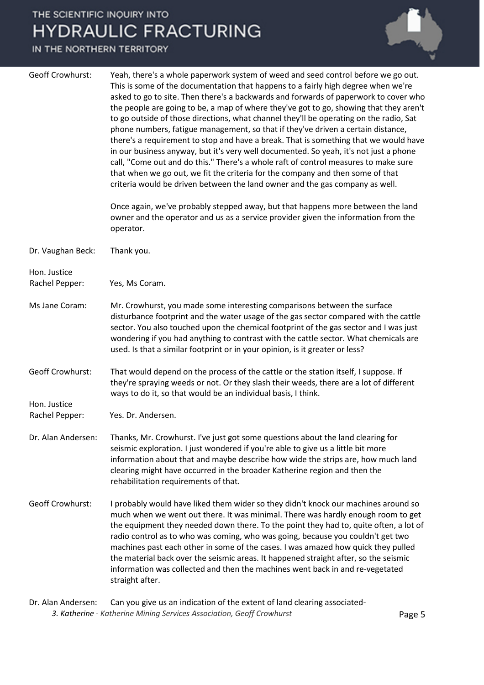IN THE NORTHERN TERRITORY



3. Katherine - *Katherine Mining Services Association, Geoff Crowhurst* **Page 5** Dr. Alan Andersen: Can you give us an indication of the extent of land clearing associated-